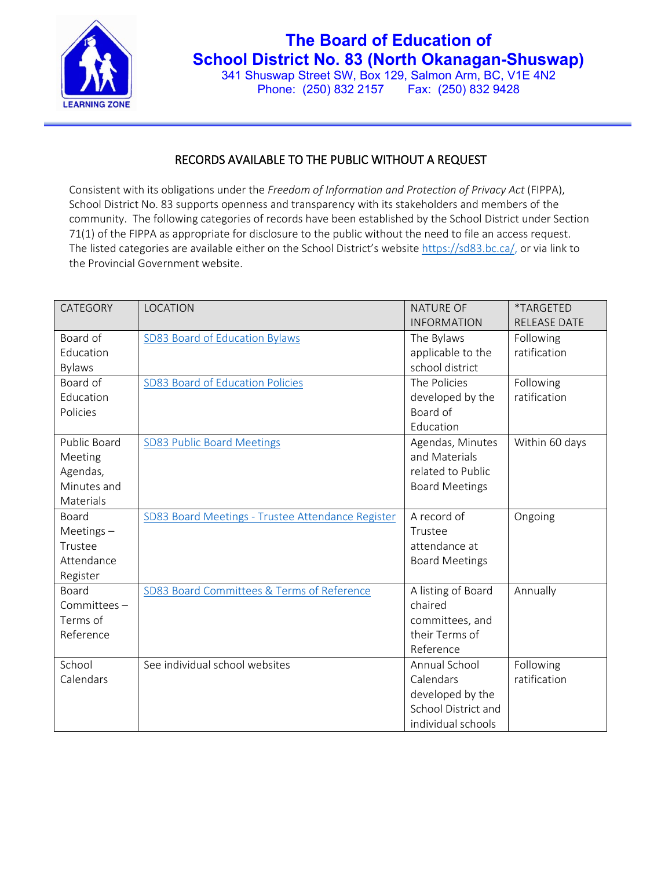

## **The Board of Education of School District No. 83 (North Okanagan-Shuswap)**

341 Shuswap Street SW, Box 129, Salmon Arm, BC, V1E 4N2 Phone: (250) 832 2157 Fax: (250) 832 9428

## RECORDS AVAILABLE TO THE PUBLIC WITHOUT A REQUEST

Consistent with its obligations under the *Freedom of Information and Protection of Privacy Act* (FIPPA), School District No. 83 supports openness and transparency with its stakeholders and members of the community. The following categories of records have been established by the School District under Section 71(1) of the FIPPA as appropriate for disclosure to the public without the need to file an access request. The listed categories are available either on the School District's websit[e https://sd83.bc.ca/,](https://sd83.bc.ca/) or via link to the Provincial Government website.

| CATEGORY       | LOCATION                                          | <b>NATURE OF</b>      | *TARGETED           |
|----------------|---------------------------------------------------|-----------------------|---------------------|
|                |                                                   | <b>INFORMATION</b>    | <b>RELEASE DATE</b> |
| Board of       | SD83 Board of Education Bylaws                    | The Bylaws            | Following           |
| Education      |                                                   | applicable to the     | ratification        |
| <b>Bylaws</b>  |                                                   | school district       |                     |
| Board of       | SD83 Board of Education Policies                  | The Policies          | Following           |
| Education      |                                                   | developed by the      | ratification        |
| Policies       |                                                   | Board of              |                     |
|                |                                                   | Education             |                     |
| Public Board   | <b>SD83 Public Board Meetings</b>                 | Agendas, Minutes      | Within 60 days      |
| Meeting        |                                                   | and Materials         |                     |
| Agendas,       |                                                   | related to Public     |                     |
| Minutes and    |                                                   | <b>Board Meetings</b> |                     |
| Materials      |                                                   |                       |                     |
| Board          | SD83 Board Meetings - Trustee Attendance Register | A record of           | Ongoing             |
| Meetings $-$   |                                                   | Trustee               |                     |
| Trustee        |                                                   | attendance at         |                     |
| Attendance     |                                                   | <b>Board Meetings</b> |                     |
| Register       |                                                   |                       |                     |
| Board          | SD83 Board Committees & Terms of Reference        | A listing of Board    | Annually            |
| Committees $-$ |                                                   | chaired               |                     |
| Terms of       |                                                   | committees, and       |                     |
| Reference      |                                                   | their Terms of        |                     |
|                |                                                   | Reference             |                     |
| School         | See individual school websites                    | Annual School         | Following           |
| Calendars      |                                                   | Calendars             | ratification        |
|                |                                                   | developed by the      |                     |
|                |                                                   | School District and   |                     |
|                |                                                   | individual schools    |                     |